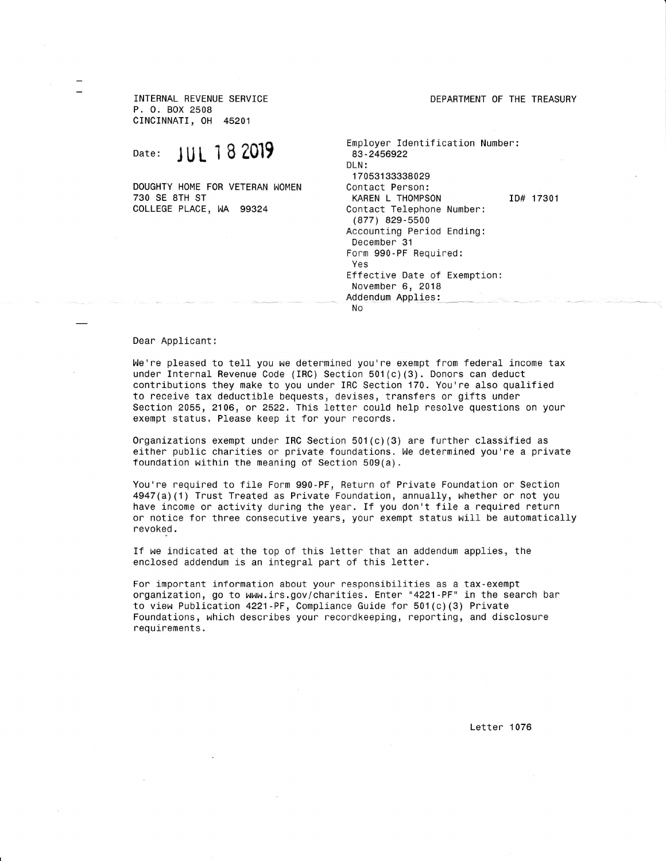INTERNAL REVENUE SERVICE P. 0. Box <sup>2508</sup> CINCINNATI, 0H <sup>45201</sup>

Date: JUL 18 2019

730 SE 8TH ST COLLEGE PLACE, WA 99324 DOUGHTY HOME FOR VETERAN WOMEN DEPARTMENT OF THE TREASURY

Employer ldentiflcation Number: 83-2456922 DLN: <sup>1</sup>70531 33338029 KAREN L THOMPSON ID# 17301 Contact Telephone Number: (877) 829-5500 Accounting Peniod Ending: December 31 Form 990-PF Required: YeS Effective Date of Exemption: November 6, <sup>2018</sup> Addendum Applies: No

## Dear Applicant:

We're pleased to tell you we determined you're exempt from federal income tax under Internal Revenue Code (IRC) Section 501(c)(3). Donors can deduct contributions they make to you unden IRC Section 170. You're also qualified to necelve tax deductible bequests, devises, transfers or gifts under Section 2055, 2106, or 2522. This letter could help resolve questions on your exempt status. Please keep it for your records.

Organizations exempt under IRC Section  $501(c)(3)$  are further classified as either public charities or private foundations. We determined you're a private foundation within the meaning of Section  $509(a)$ .

You're requined to file Form 990-PF, Retunn of Private Foundation on Section  $4947(a)(1)$  Trust Treated as Private Foundation, annually, whether or not you have income or activity during the year. If you don't file a required return or notice for three consecutive years, your exempt status will be automatically revoked.

If we indicated at the top of this letter that an addendum applies, the enclosed addendum is an integral part of this letter.

For important information about your responsibilities as a tax-exempt organization, go to www.irs.gov/charities. Enter "4221 -PF" in the search bar to view Publication 4221 - PF, Compliance Guide for  $501 (c) (3)$  Private Foundations, which describes your recordkeeping, reporting, and disclosure nequlrements.

Letter 1076